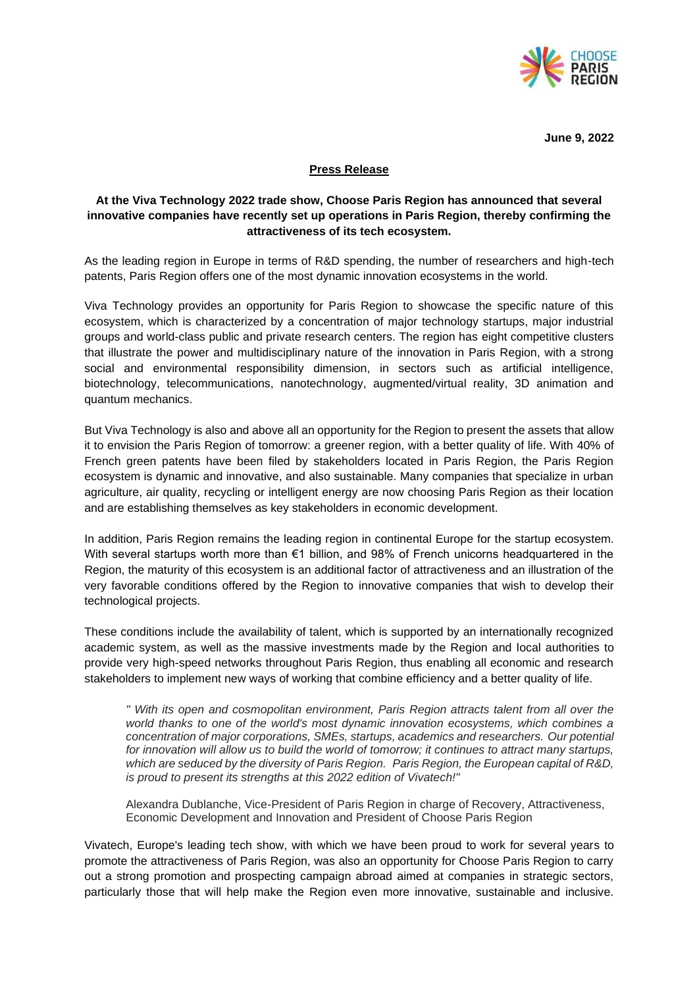

**June 9, 2022** 

# **Press Release**

# **At the Viva Technology 2022 trade show, Choose Paris Region has announced that several innovative companies have recently set up operations in Paris Region, thereby confirming the attractiveness of its tech ecosystem.**

As the leading region in Europe in terms of R&D spending, the number of researchers and high-tech patents, Paris Region offers one of the most dynamic innovation ecosystems in the world.

Viva Technology provides an opportunity for Paris Region to showcase the specific nature of this ecosystem, which is characterized by a concentration of major technology startups, major industrial groups and world-class public and private research centers. The region has eight competitive clusters that illustrate the power and multidisciplinary nature of the innovation in Paris Region, with a strong social and environmental responsibility dimension, in sectors such as artificial intelligence, biotechnology, telecommunications, nanotechnology, augmented/virtual reality, 3D animation and quantum mechanics.

But Viva Technology is also and above all an opportunity for the Region to present the assets that allow it to envision the Paris Region of tomorrow: a greener region, with a better quality of life. With 40% of French green patents have been filed by stakeholders located in Paris Region, the Paris Region ecosystem is dynamic and innovative, and also sustainable. Many companies that specialize in urban agriculture, air quality, recycling or intelligent energy are now choosing Paris Region as their location and are establishing themselves as key stakeholders in economic development.

In addition, Paris Region remains the leading region in continental Europe for the startup ecosystem. With several startups worth more than €1 billion, and 98% of French unicorns headquartered in the Region, the maturity of this ecosystem is an additional factor of attractiveness and an illustration of the very favorable conditions offered by the Region to innovative companies that wish to develop their technological projects.

These conditions include the availability of talent, which is supported by an internationally recognized academic system, as well as the massive investments made by the Region and local authorities to provide very high-speed networks throughout Paris Region, thus enabling all economic and research stakeholders to implement new ways of working that combine efficiency and a better quality of life.

*" With its open and cosmopolitan environment, Paris Region attracts talent from all over the world thanks to one of the world's most dynamic innovation ecosystems, which combines a concentration of major corporations, SMEs, startups, academics and researchers. Our potential for innovation will allow us to build the world of tomorrow; it continues to attract many startups, which are seduced by the diversity of Paris Region. Paris Region, the European capital of R&D, is proud to present its strengths at this 2022 edition of Vivatech!"*

Alexandra Dublanche, Vice-President of Paris Region in charge of Recovery, Attractiveness, Economic Development and Innovation and President of Choose Paris Region

Vivatech, Europe's leading tech show, with which we have been proud to work for several years to promote the attractiveness of Paris Region, was also an opportunity for Choose Paris Region to carry out a strong promotion and prospecting campaign abroad aimed at companies in strategic sectors, particularly those that will help make the Region even more innovative, sustainable and inclusive.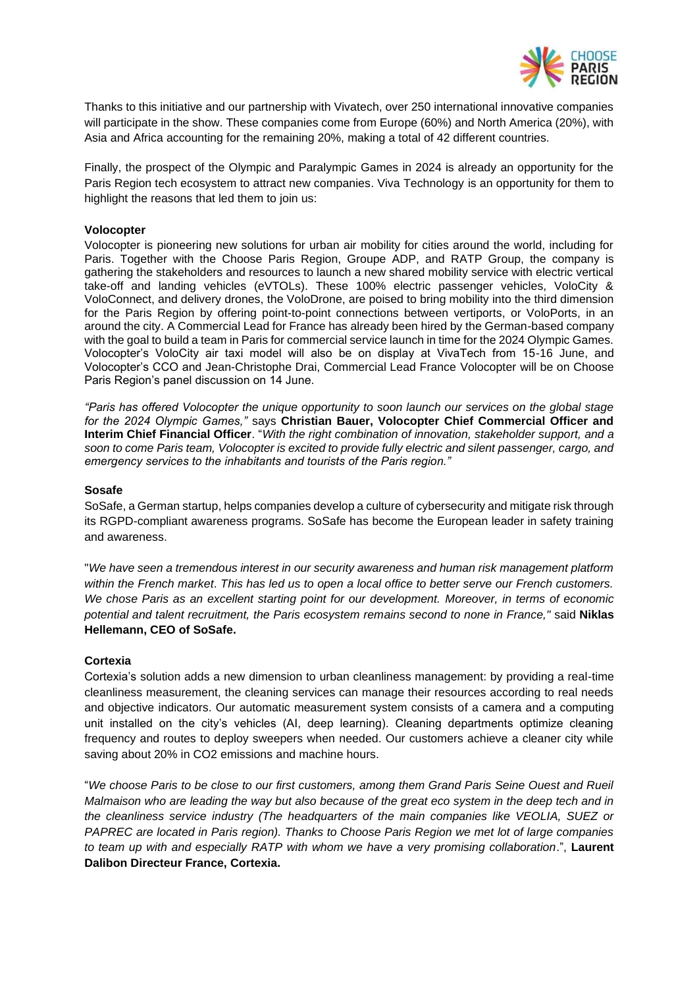

Thanks to this initiative and our partnership with Vivatech, over 250 international innovative companies will participate in the show. These companies come from Europe (60%) and North America (20%), with Asia and Africa accounting for the remaining 20%, making a total of 42 different countries.

Finally, the prospect of the Olympic and Paralympic Games in 2024 is already an opportunity for the Paris Region tech ecosystem to attract new companies. Viva Technology is an opportunity for them to highlight the reasons that led them to join us:

## **Volocopter**

Volocopter is pioneering new solutions for urban air mobility for cities around the world, including for Paris. Together with the Choose Paris Region, Groupe ADP, and RATP Group, the company is gathering the stakeholders and resources to launch a new shared mobility service with electric vertical take-off and landing vehicles (eVTOLs). These 100% electric passenger vehicles, VoloCity & VoloConnect, and delivery drones, the VoloDrone, are poised to bring mobility into the third dimension for the Paris Region by offering point-to-point connections between vertiports, or VoloPorts, in an around the city. A Commercial Lead for France has already been hired by the German-based company with the goal to build a team in Paris for commercial service launch in time for the 2024 Olympic Games. Volocopter's VoloCity air taxi model will also be on display at VivaTech from 15-16 June, and Volocopter's CCO and Jean-Christophe Drai, Commercial Lead France Volocopter will be on Choose Paris Region's panel discussion on 14 June.

*"Paris has offered Volocopter the unique opportunity to soon launch our services on the global stage for the 2024 Olympic Games,"* says **Christian Bauer, Volocopter Chief Commercial Officer and Interim Chief Financial Officer**. "*With the right combination of innovation, stakeholder support, and a soon to come Paris team, Volocopter is excited to provide fully electric and silent passenger, cargo, and emergency services to the inhabitants and tourists of the Paris region."*

### **Sosafe**

SoSafe, a German startup, helps companies develop a culture of cybersecurity and mitigate risk through its RGPD-compliant awareness programs. SoSafe has become the European leader in safety training and awareness.

"*We have seen a tremendous interest in our security awareness and human risk management platform within the French market*. *This has led us to open a local office to better serve our French customers. We chose Paris as an excellent starting point for our development. Moreover, in terms of economic potential and talent recruitment, the Paris ecosystem remains second to none in France,"* said **Niklas Hellemann, CEO of SoSafe.**

## **Cortexia**

Cortexia's solution adds a new dimension to urban cleanliness management: by providing a real-time cleanliness measurement, the cleaning services can manage their resources according to real needs and objective indicators. Our automatic measurement system consists of a camera and a computing unit installed on the city's vehicles (AI, deep learning). Cleaning departments optimize cleaning frequency and routes to deploy sweepers when needed. Our customers achieve a cleaner city while saving about 20% in CO2 emissions and machine hours.

"*We choose Paris to be close to our first customers, among them Grand Paris Seine Ouest and Rueil Malmaison who are leading the way but also because of the great eco system in the deep tech and in the cleanliness service industry (The headquarters of the main companies like VEOLIA, SUEZ or PAPREC are located in Paris region). Thanks to Choose Paris Region we met lot of large companies to team up with and especially RATP with whom we have a very promising collaboration*.", **Laurent Dalibon Directeur France, Cortexia.**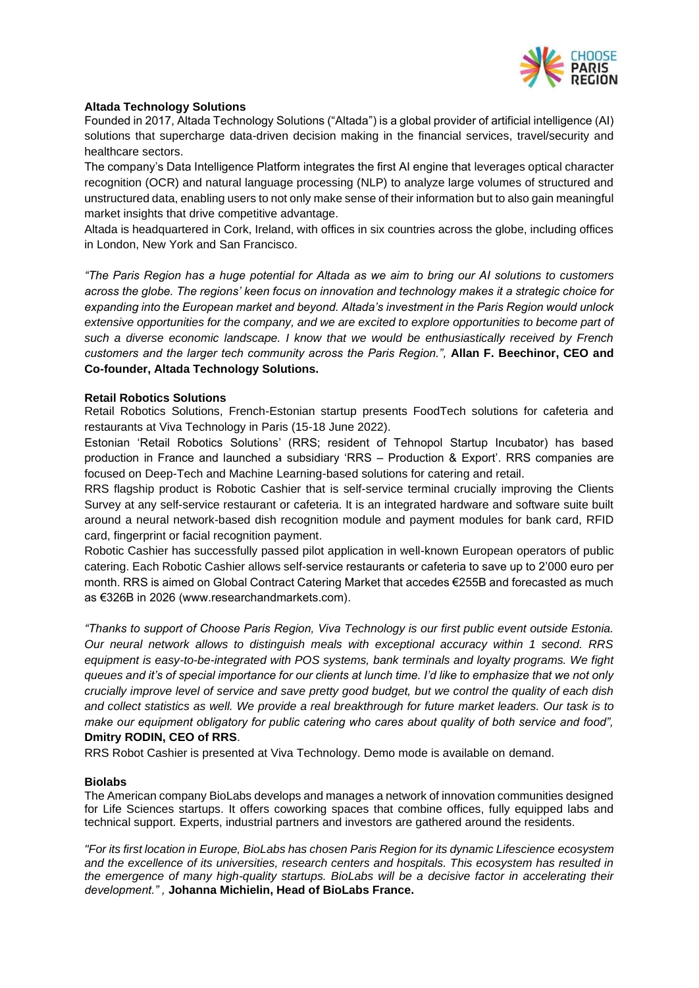

## **Altada Technology Solutions**

Founded in 2017, Altada Technology Solutions ("Altada") is a global provider of artificial intelligence (AI) solutions that supercharge data-driven decision making in the financial services, travel/security and healthcare sectors.

The company's Data Intelligence Platform integrates the first AI engine that leverages optical character recognition (OCR) and natural language processing (NLP) to analyze large volumes of structured and unstructured data, enabling users to not only make sense of their information but to also gain meaningful market insights that drive competitive advantage.

Altada is headquartered in Cork, Ireland, with offices in six countries across the globe, including offices in London, New York and San Francisco.

*"The Paris Region has a huge potential for Altada as we aim to bring our AI solutions to customers across the globe. The regions' keen focus on innovation and technology makes it a strategic choice for expanding into the European market and beyond. Altada's investment in the Paris Region would unlock extensive opportunities for the company, and we are excited to explore opportunities to become part of such a diverse economic landscape. I know that we would be enthusiastically received by French customers and the larger tech community across the Paris Region.",* **Allan F. Beechinor, CEO and Co-founder, Altada Technology Solutions.**

### **Retail Robotics Solutions**

Retail Robotics Solutions, French-Estonian startup presents FoodTech solutions for cafeteria and restaurants at Viva Technology in Paris (15-18 June 2022).

Estonian 'Retail Robotics Solutions' (RRS; resident of Tehnopol Startup Incubator) has based production in France and launched a subsidiary 'RRS – Production & Export'. RRS companies are focused on Deep-Tech and Machine Learning-based solutions for catering and retail.

RRS flagship product is Robotic Cashier that is self-service terminal crucially improving the Clients Survey at any self-service restaurant or cafeteria. It is an integrated hardware and software suite built around a neural network-based dish recognition module and payment modules for bank card, RFID card, fingerprint or facial recognition payment.

Robotic Cashier has successfully passed pilot application in well-known European operators of public catering. Each Robotic Cashier allows self-service restaurants or cafeteria to save up to 2'000 euro per month. RRS is aimed on Global Contract Catering Market that accedes €255B and forecasted as much as €326B in 2026 (www.researchandmarkets.com).

*"Thanks to support of Choose Paris Region, Viva Technology is our first public event outside Estonia. Our neural network allows to distinguish meals with exceptional accuracy within 1 second. RRS equipment is easy-to-be-integrated with POS systems, bank terminals and loyalty programs. We fight queues and it's of special importance for our clients at lunch time. I'd like to emphasize that we not only crucially improve level of service and save pretty good budget, but we control the quality of each dish and collect statistics as well. We provide a real breakthrough for future market leaders. Our task is to make our equipment obligatory for public catering who cares about quality of both service and food",* **Dmitry RODIN, CEO of RRS**.

RRS Robot Cashier is presented at Viva Technology. Demo mode is available on demand.

### **Biolabs**

The American company BioLabs develops and manages a network of innovation communities designed for Life Sciences startups. It offers coworking spaces that combine offices, fully equipped labs and technical support. Experts, industrial partners and investors are gathered around the residents.

*"For its first location in Europe, BioLabs has chosen Paris Region for its dynamic Lifescience ecosystem and the excellence of its universities, research centers and hospitals. This ecosystem has resulted in the emergence of many high-quality startups. BioLabs will be a decisive factor in accelerating their development." ,* **Johanna Michielin, Head of BioLabs France.**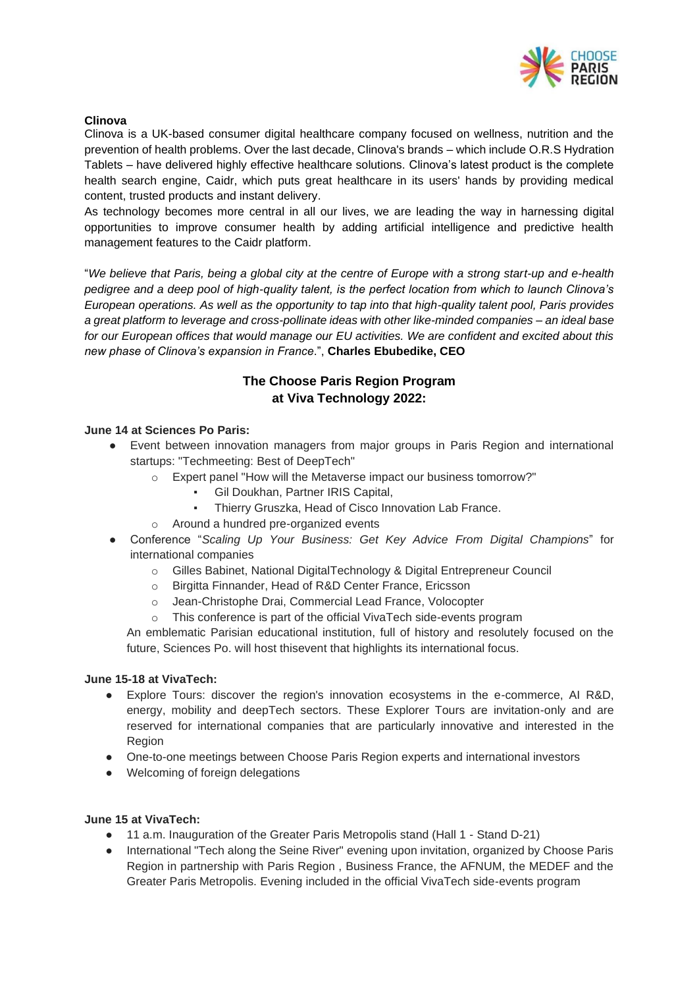

## **Clinova**

Clinova is a UK-based consumer digital healthcare company focused on wellness, nutrition and the prevention of health problems. Over the last decade, Clinova's brands – which include O.R.S Hydration Tablets – have delivered highly effective healthcare solutions. Clinova's latest product is the complete health search engine, Caidr, which puts great healthcare in its users' hands by providing medical content, trusted products and instant delivery.

As technology becomes more central in all our lives, we are leading the way in harnessing digital opportunities to improve consumer health by adding artificial intelligence and predictive health management features to the Caidr platform.

"*We believe that Paris, being a global city at the centre of Europe with a strong start-up and e-health pedigree and a deep pool of high-quality talent, is the perfect location from which to launch Clinova's European operations. As well as the opportunity to tap into that high-quality talent pool, Paris provides a great platform to leverage and cross-pollinate ideas with other like-minded companies – an ideal base for our European offices that would manage our EU activities. We are confident and excited about this new phase of Clinova's expansion in France*.", **Charles Ebubedike, CEO**

# **The Choose Paris Region Program at Viva Technology 2022:**

# **June 14 at Sciences Po Paris:**

- Event between innovation managers from major groups in Paris Region and international startups: "Techmeeting: Best of DeepTech"
	- o Expert panel "How will the Metaverse impact our business tomorrow?"
		- Gil Doukhan, Partner IRIS Capital,
		- Thierry Gruszka, Head of Cisco Innovation Lab France.
	- o Around a hundred pre-organized events
- Conference "*Scaling Up Your Business: Get Key Advice From Digital Champions*" for international companies
	- o Gilles Babinet, National DigitalTechnology & Digital Entrepreneur Council
	- o Birgitta Finnander, Head of R&D Center France, Ericsson
	- o Jean-Christophe Drai, Commercial Lead France, Volocopter
	- o This conference is part of the official VivaTech side-events program

An emblematic Parisian educational institution, full of history and resolutely focused on the future, Sciences Po. will host thisevent that highlights its international focus.

### **June 15-18 at VivaTech:**

- Explore Tours: discover the region's innovation ecosystems in the e-commerce, AI R&D, energy, mobility and deepTech sectors. These Explorer Tours are invitation-only and are reserved for international companies that are particularly innovative and interested in the Region
- One-to-one meetings between Choose Paris Region experts and international investors
- Welcoming of foreign delegations

### **June 15 at VivaTech:**

- 11 a.m. Inauguration of the Greater Paris Metropolis stand (Hall 1 Stand D-21)
- International "Tech along the Seine River" evening upon invitation, organized by Choose Paris Region in partnership with Paris Region , Business France, the AFNUM, the MEDEF and the Greater Paris Metropolis. Evening included in the official VivaTech side-events program